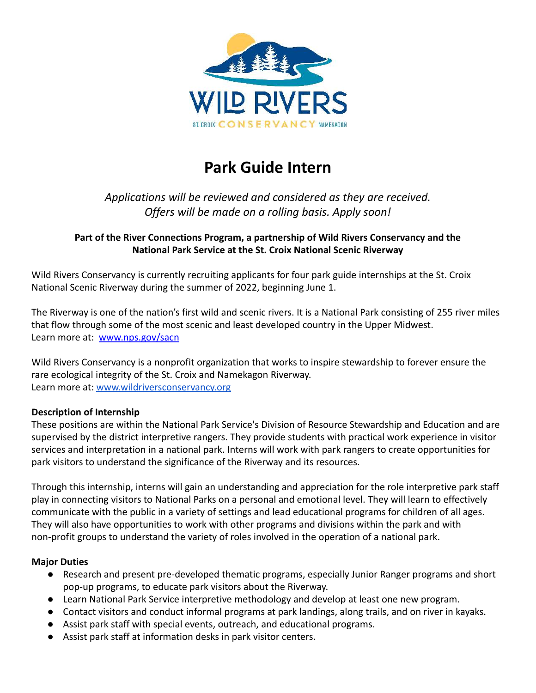

# **Park Guide Intern**

## *Applications will be reviewed and considered as they are received. Offers will be made on a rolling basis. Apply soon!*

### **Part of the River Connections Program, a partnership of Wild Rivers Conservancy and the National Park Service at the St. Croix National Scenic Riverway**

Wild Rivers Conservancy is currently recruiting applicants for four park guide internships at the St. Croix National Scenic Riverway during the summer of 2022, beginning June 1.

The Riverway is one of the nation's first wild and scenic rivers. It is a National Park consisting of 255 river miles that flow through some of the most scenic and least developed country in the Upper Midwest. Learn more at: [www.nps.gov/sacn](http://www.nps.gov/sacn)

Wild Rivers Conservancy is a nonprofit organization that works to inspire stewardship to forever ensure the rare ecological integrity of the St. Croix and Namekagon Riverway. Learn more at: [www.wildriversconservancy.org](http://www.wildriversconservancy.org)

#### **Description of Internship**

These positions are within the National Park Service's Division of Resource Stewardship and Education and are supervised by the district interpretive rangers. They provide students with practical work experience in visitor services and interpretation in a national park. Interns will work with park rangers to create opportunities for park visitors to understand the significance of the Riverway and its resources.

Through this internship, interns will gain an understanding and appreciation for the role interpretive park staff play in connecting visitors to National Parks on a personal and emotional level. They will learn to effectively communicate with the public in a variety of settings and lead educational programs for children of all ages. They will also have opportunities to work with other programs and divisions within the park and with non-profit groups to understand the variety of roles involved in the operation of a national park.

#### **Major Duties**

- Research and present pre-developed thematic programs, especially Junior Ranger programs and short pop-up programs, to educate park visitors about the Riverway.
- Learn National Park Service interpretive methodology and develop at least one new program.
- Contact visitors and conduct informal programs at park landings, along trails, and on river in kayaks.
- Assist park staff with special events, outreach, and educational programs.
- Assist park staff at information desks in park visitor centers.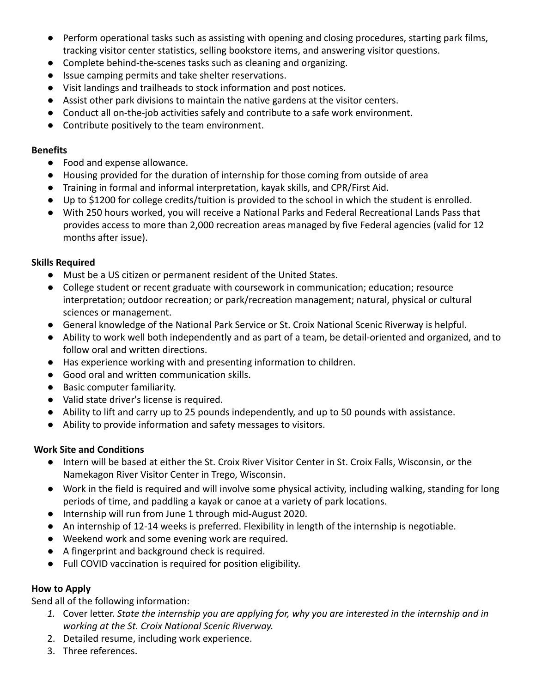- Perform operational tasks such as assisting with opening and closing procedures, starting park films, tracking visitor center statistics, selling bookstore items, and answering visitor questions.
- Complete behind-the-scenes tasks such as cleaning and organizing.
- Issue camping permits and take shelter reservations.
- Visit landings and trailheads to stock information and post notices.
- Assist other park divisions to maintain the native gardens at the visitor centers.
- Conduct all on-the-job activities safely and contribute to a safe work environment.
- Contribute positively to the team environment.

#### **Benefits**

- Food and expense allowance.
- Housing provided for the duration of internship for those coming from outside of area
- Training in formal and informal interpretation, kayak skills, and CPR/First Aid.
- Up to \$1200 for college credits/tuition is provided to the school in which the student is enrolled.
- With 250 hours worked, you will receive a National Parks and Federal Recreational Lands Pass that provides access to more than 2,000 recreation areas managed by five Federal agencies (valid for 12 months after issue).

#### **Skills Required**

- Must be a US citizen or permanent resident of the United States.
- College student or recent graduate with coursework in communication; education; resource interpretation; outdoor recreation; or park/recreation management; natural, physical or cultural sciences or management.
- General knowledge of the National Park Service or St. Croix National Scenic Riverway is helpful.
- Ability to work well both independently and as part of a team, be detail-oriented and organized, and to follow oral and written directions.
- Has experience working with and presenting information to children.
- Good oral and written communication skills.
- Basic computer familiarity.
- Valid state driver's license is required.
- Ability to lift and carry up to 25 pounds independently, and up to 50 pounds with assistance.
- Ability to provide information and safety messages to visitors.

#### **Work Site and Conditions**

- Intern will be based at either the St. Croix River Visitor Center in St. Croix Falls, Wisconsin, or the Namekagon River Visitor Center in Trego, Wisconsin.
- Work in the field is required and will involve some physical activity, including walking, standing for long periods of time, and paddling a kayak or canoe at a variety of park locations.
- Internship will run from June 1 through mid-August 2020.
- An internship of 12-14 weeks is preferred. Flexibility in length of the internship is negotiable.
- Weekend work and some evening work are required.
- A fingerprint and background check is required.
- Full COVID vaccination is required for position eligibility.

#### **How to Apply**

Send all of the following information:

- *1.* Cover letter. *State the internship you are applying for, why you are interested in the internship and in working at the St. Croix National Scenic Riverway.*
- 2. Detailed resume, including work experience.
- 3. Three references.